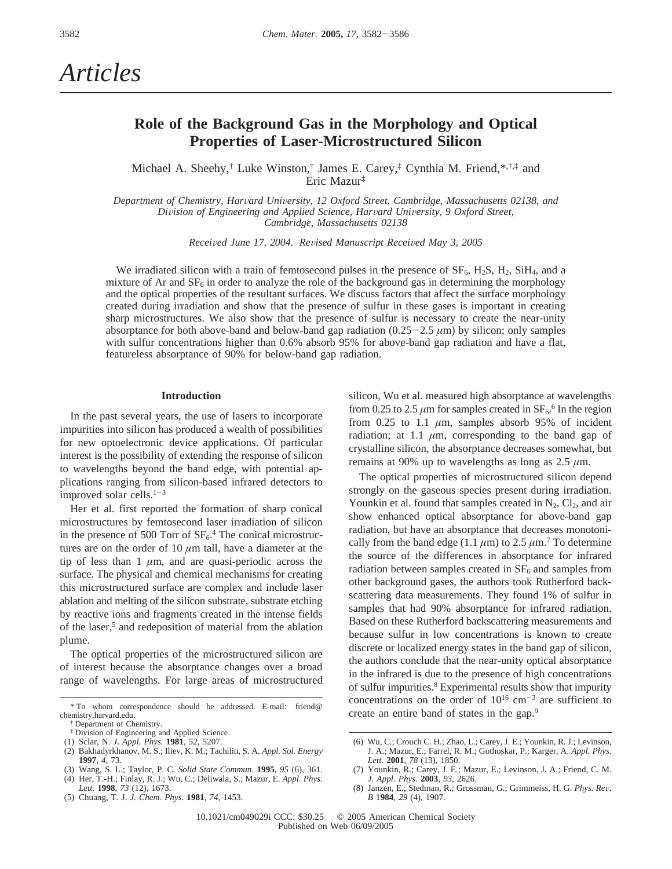# *Articles*

## **Role of the Background Gas in the Morphology and Optical Properties of Laser-Microstructured Silicon**

Michael A. Sheehy,† Luke Winston,† James E. Carey,‡ Cynthia M. Friend,\*,†,‡ and Eric Mazur‡

*Department of Chemistry, Har*V*ard Uni*V*ersity, 12 Oxford Street, Cambridge, Massachusetts 02138, and Division of Engineering and Applied Science, Harvard University, 9 Oxford Street, Cambridge, Massachusetts 02138*

*Received June 17, 2004. Revised Manuscript Received May 3, 2005* 

We irradiated silicon with a train of femtosecond pulses in the presence of  $SF_6$ ,  $H_2S$ ,  $H_2$ ,  $SiH_4$ , and a mixture of Ar and  $SF<sub>6</sub>$  in order to analyze the role of the background gas in determining the morphology and the optical properties of the resultant surfaces. We discuss factors that affect the surface morphology created during irradiation and show that the presence of sulfur in these gases is important in creating sharp microstructures. We also show that the presence of sulfur is necessary to create the near-unity absorptance for both above-band and below-band gap radiation  $(0.25-2.5 \mu m)$  by silicon; only samples with sulfur concentrations higher than 0.6% absorb 95% for above-band gap radiation and have a flat, featureless absorptance of 90% for below-band gap radiation.

### **Introduction**

In the past several years, the use of lasers to incorporate impurities into silicon has produced a wealth of possibilities for new optoelectronic device applications. Of particular interest is the possibility of extending the response of silicon to wavelengths beyond the band edge, with potential applications ranging from silicon-based infrared detectors to improved solar cells. $1-3$ 

Her et al. first reported the formation of sharp conical microstructures by femtosecond laser irradiation of silicon in the presence of 500 Torr of  $SF<sub>6</sub>$ .<sup>4</sup> The conical microstructures are on the order of 10 *µ*m tall, have a diameter at the tip of less than  $1 \mu m$ , and are quasi-periodic across the surface. The physical and chemical mechanisms for creating this microstructured surface are complex and include laser ablation and melting of the silicon substrate, substrate etching by reactive ions and fragments created in the intense fields of the laser,<sup>5</sup> and redeposition of material from the ablation plume.

The optical properties of the microstructured silicon are of interest because the absorptance changes over a broad range of wavelengths. For large areas of microstructured

- (1) Sclar, N. *J*. *Appl. Phys.* **1981**, *52*, 5207.
- (2) Bakhadyrkhanov, M. S.; Iliev, K. M.; Tachilin, S. A. *Appl. Sol. Energy* **1997**, *4*, 73.
- (3) Wang, S. L.; Taylor, P. C. *Solid State Commun.* **1995**, *95* (6), 361.
- (4) Her, T.-H.; Finlay, R. J.; Wu, C.; Deliwala, S.; Mazur, E. *Appl. Phys. Lett.* **1998**, *73* (12), 1673.
- (5) Chuang, T. J. *J. Chem. Phys*. **1981**, *74*, 1453.

silicon, Wu et al. measured high absorptance at wavelengths from 0.25 to 2.5  $\mu$ m for samples created in SF<sub>6</sub>.<sup>6</sup> In the region from  $0.25$  to 1.1  $\mu$ m, samples absorb 95% of incident radiation; at 1.1  $\mu$ m, corresponding to the band gap of crystalline silicon, the absorptance decreases somewhat, but remains at 90% up to wavelengths as long as 2.5 *µ*m.

The optical properties of microstructured silicon depend strongly on the gaseous species present during irradiation. Younkin et al. found that samples created in  $N_2$ ,  $Cl_2$ , and air show enhanced optical absorptance for above-band gap radiation, but have an absorptance that decreases monotonically from the band edge (1.1  $\mu$ m) to 2.5  $\mu$ m.<sup>7</sup> To determine the source of the differences in absorptance for infrared radiation between samples created in  $SF<sub>6</sub>$  and samples from other background gases, the authors took Rutherford backscattering data measurements. They found 1% of sulfur in samples that had 90% absorptance for infrared radiation. Based on these Rutherford backscattering measurements and because sulfur in low concentrations is known to create discrete or localized energy states in the band gap of silicon, the authors conclude that the near-unity optical absorptance in the infrared is due to the presence of high concentrations of sulfur impurities.<sup>8</sup> Experimental results show that impurity concentrations on the order of  $10^{16}$  cm<sup>-3</sup> are sufficient to

<sup>&</sup>lt;sup>\*</sup>To whom correspondence should be addressed. E-mail: friend@<br>emistry.harvard.edu. create an entire band of states in the gap.<sup>9</sup> chemistry.harvard.edu.

Department of Chemistry.

<sup>‡</sup> Division of Engineering and Applied Science.

<sup>(6)</sup> Wu, C.; Crouch C. H.; Zhao, L.; Carey, J. E.; Younkin, R. J.; Levinson, J. A.; Mazur, E.; Farrel, R. M.; Gothoskar, P.; Karger, A. *Appl. Phys. Lett.* **2001**, *78* (13), 1850.

<sup>(7)</sup> Younkin, R.; Carey, J. E.; Mazur, E.; Levinson, J. A.; Friend, C. M. *J. Appl. Phys*. **2003**, *93*, 2626.

<sup>(8)</sup> Janzen, E.; Stedman, R.; Grossman, G.; Grimmeiss, H. G. *Phys. Re*V*. B* 1**984**, *29* (4), 1907.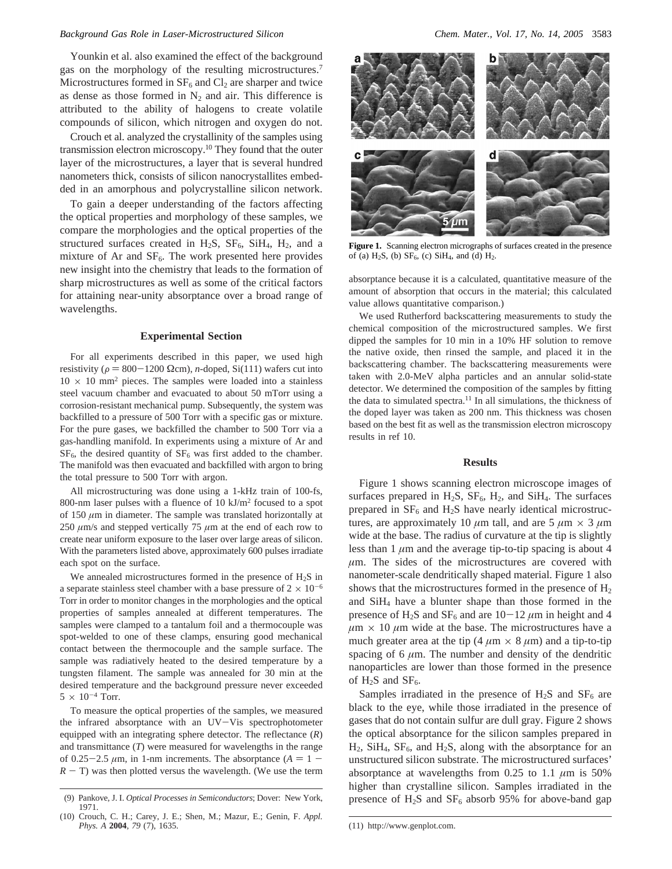Younkin et al. also examined the effect of the background gas on the morphology of the resulting microstructures.7 Microstructures formed in  $SF_6$  and  $CI_2$  are sharper and twice as dense as those formed in  $N_2$  and air. This difference is attributed to the ability of halogens to create volatile compounds of silicon, which nitrogen and oxygen do not.

Crouch et al. analyzed the crystallinity of the samples using transmission electron microscopy.<sup>10</sup> They found that the outer layer of the microstructures, a layer that is several hundred nanometers thick, consists of silicon nanocrystallites embedded in an amorphous and polycrystalline silicon network.

To gain a deeper understanding of the factors affecting the optical properties and morphology of these samples, we compare the morphologies and the optical properties of the structured surfaces created in  $H_2S$ ,  $SF_6$ ,  $SiH_4$ ,  $H_2$ , and a mixture of Ar and  $SF<sub>6</sub>$ . The work presented here provides new insight into the chemistry that leads to the formation of sharp microstructures as well as some of the critical factors for attaining near-unity absorptance over a broad range of wavelengths.

#### **Experimental Section**

For all experiments described in this paper, we used high resistivity ( $\rho = 800-1200$  Ωcm), *n*-doped, Si(111) wafers cut into  $10 \times 10$  mm<sup>2</sup> pieces. The samples were loaded into a stainless steel vacuum chamber and evacuated to about 50 mTorr using a corrosion-resistant mechanical pump. Subsequently, the system was backfilled to a pressure of 500 Torr with a specific gas or mixture. For the pure gases, we backfilled the chamber to 500 Torr via a gas-handling manifold. In experiments using a mixture of Ar and  $SF<sub>6</sub>$ , the desired quantity of  $SF<sub>6</sub>$  was first added to the chamber. The manifold was then evacuated and backfilled with argon to bring the total pressure to 500 Torr with argon.

All microstructuring was done using a 1-kHz train of 100-fs, 800-nm laser pulses with a fluence of 10 kJ/m2 focused to a spot of 150  $\mu$ m in diameter. The sample was translated horizontally at 250  $\mu$ m/s and stepped vertically 75  $\mu$ m at the end of each row to create near uniform exposure to the laser over large areas of silicon. With the parameters listed above, approximately 600 pulses irradiate each spot on the surface.

We annealed microstructures formed in the presence of  $H_2S$  in a separate stainless steel chamber with a base pressure of  $2 \times 10^{-6}$ Torr in order to monitor changes in the morphologies and the optical properties of samples annealed at different temperatures. The samples were clamped to a tantalum foil and a thermocouple was spot-welded to one of these clamps, ensuring good mechanical contact between the thermocouple and the sample surface. The sample was radiatively heated to the desired temperature by a tungsten filament. The sample was annealed for 30 min at the desired temperature and the background pressure never exceeded  $5 \times 10^{-4}$  Torr.

To measure the optical properties of the samples, we measured the infrared absorptance with an UV-Vis spectrophotometer equipped with an integrating sphere detector. The reflectance (*R*) and transmittance (*T*) were measured for wavelengths in the range of 0.25-2.5  $\mu$ m, in 1-nm increments. The absorptance ( $A = 1 R - T$ ) was then plotted versus the wavelength. (We use the term



Figure 1. Scanning electron micrographs of surfaces created in the presence of (a)  $H_2S$ , (b)  $SF_6$ , (c)  $SiH_4$ , and (d)  $H_2$ .

absorptance because it is a calculated, quantitative measure of the amount of absorption that occurs in the material; this calculated value allows quantitative comparison.)

We used Rutherford backscattering measurements to study the chemical composition of the microstructured samples. We first dipped the samples for 10 min in a 10% HF solution to remove the native oxide, then rinsed the sample, and placed it in the backscattering chamber. The backscattering measurements were taken with 2.0-MeV alpha particles and an annular solid-state detector. We determined the composition of the samples by fitting the data to simulated spectra.<sup>11</sup> In all simulations, the thickness of the doped layer was taken as 200 nm. This thickness was chosen based on the best fit as well as the transmission electron microscopy results in ref 10.

#### **Results**

Figure 1 shows scanning electron microscope images of surfaces prepared in  $H_2S$ ,  $SF_6$ ,  $H_2$ , and  $SiH_4$ . The surfaces prepared in  $SF_6$  and  $H_2S$  have nearly identical microstructures, are approximately 10  $\mu$ m tall, and are 5  $\mu$ m  $\times$  3  $\mu$ m wide at the base. The radius of curvature at the tip is slightly less than  $1 \mu m$  and the average tip-to-tip spacing is about  $4 \mu m$ *µ*m. The sides of the microstructures are covered with nanometer-scale dendritically shaped material. Figure 1 also shows that the microstructures formed in the presence of  $H_2$ and  $SiH<sub>4</sub>$  have a blunter shape than those formed in the presence of H<sub>2</sub>S and SF<sub>6</sub> and are  $10-12 \mu m$  in height and 4  $\mu$ m × 10  $\mu$ m wide at the base. The microstructures have a much greater area at the tip (4  $\mu$ m  $\times$  8  $\mu$ m) and a tip-to-tip spacing of 6  $\mu$ m. The number and density of the dendritic nanoparticles are lower than those formed in the presence of  $H_2S$  and  $SF_6$ .

Samples irradiated in the presence of  $H_2S$  and  $SF_6$  are black to the eye, while those irradiated in the presence of gases that do not contain sulfur are dull gray. Figure 2 shows the optical absorptance for the silicon samples prepared in  $H_2$ , SiH<sub>4</sub>, SF<sub>6</sub>, and H<sub>2</sub>S, along with the absorptance for an unstructured silicon substrate. The microstructured surfaces' absorptance at wavelengths from  $0.25$  to  $1.1 \mu m$  is 50% higher than crystalline silicon. Samples irradiated in the

<sup>(9)</sup> Pankove, J. I. *Optical Processes in Semiconductors*; Dover: New York, presence of H<sub>2</sub>S and SF<sub>6</sub> absorb 95% for above-band gap 1971.

<sup>(10)</sup> Crouch, C. H.; Carey, J. E.; Shen, M.; Mazur, E.; Genin, F. *Appl.*

*Phys. A* **2004**, *79* (7), 1635. (11) http://www.genplot.com.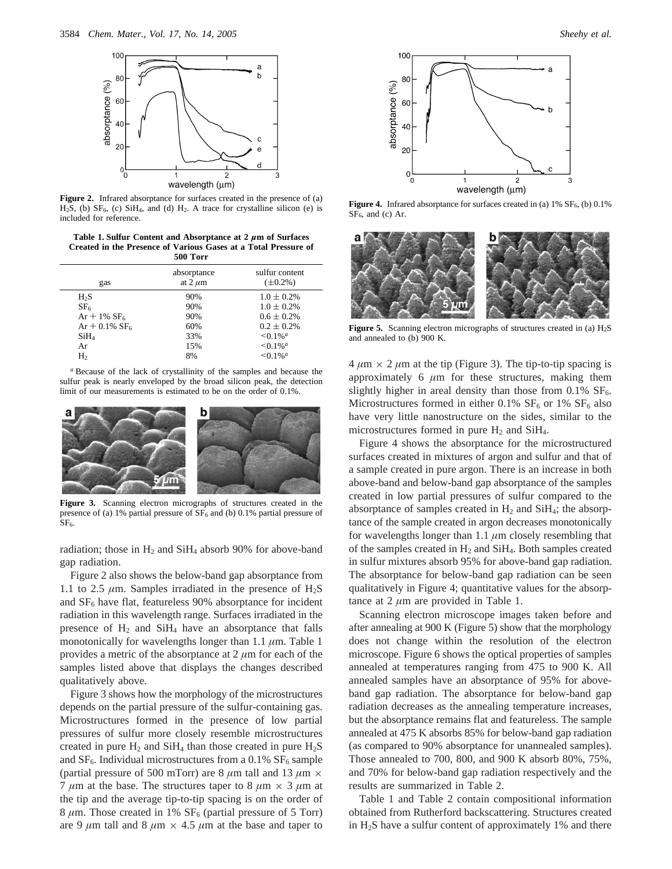

**Figure 2.** Infrared absorptance for surfaces created in the presence of (a)  $H_2S$ , (b)  $SF_6$ , (c)  $SiH_4$ , and (d)  $H_2$ . A trace for crystalline silicon (e) is included for reference.

**Table 1. Sulfur Content and Absorptance at 2** *µ***m of Surfaces Created in the Presence of Various Gases at a Total Pressure of 500 Torr**

| gas                          | absorptance<br>at $2 \mu m$ | sulfur content<br>$(\pm 0.2\%)$ |
|------------------------------|-----------------------------|---------------------------------|
| H <sub>2</sub> S             | 90%                         | $1.0 \pm 0.2\%$                 |
| SF <sub>6</sub>              | 90%                         | $1.0 \pm 0.2\%$                 |
| $Ar + 1\% SF_6$              | 90%                         | $0.6 \pm 0.2\%$                 |
| $Ar + 0.1\%$ SF <sub>6</sub> | 60%                         | $0.2 + 0.2\%$                   |
| SiH <sub>4</sub>             | 33%                         | $\leq 0.1\%$ <sup>a</sup>       |
| Ar                           | 15%                         | $\leq 0.1\%$ <sup>a</sup>       |
| H <sub>2</sub>               | 8%                          | $\leq 0.1\%$ <sup>a</sup>       |

*<sup>a</sup>* Because of the lack of crystallinity of the samples and because the sulfur peak is nearly enveloped by the broad silicon peak, the detection limit of our measurements is estimated to be on the order of 0.1%.



**Figure 3.** Scanning electron micrographs of structures created in the presence of (a) 1% partial pressure of  $SF<sub>6</sub>$  and (b) 0.1% partial pressure of  $SF<sub>6</sub>$ 

radiation; those in  $H_2$  and Si $H_4$  absorb 90% for above-band gap radiation.

Figure 2 also shows the below-band gap absorptance from 1.1 to 2.5  $\mu$ m. Samples irradiated in the presence of H<sub>2</sub>S and  $SF<sub>6</sub>$  have flat, featureless 90% absorptance for incident radiation in this wavelength range. Surfaces irradiated in the presence of  $H_2$  and  $SiH_4$  have an absorptance that falls monotonically for wavelengths longer than 1.1 *µ*m. Table 1 provides a metric of the absorptance at 2 *µ*m for each of the samples listed above that displays the changes described qualitatively above.

Figure 3 shows how the morphology of the microstructures depends on the partial pressure of the sulfur-containing gas. Microstructures formed in the presence of low partial pressures of sulfur more closely resemble microstructures created in pure  $H_2$  and Si $H_4$  than those created in pure  $H_2S$ and  $SF_6$ . Individual microstructures from a 0.1%  $SF_6$  sample (partial pressure of 500 mTorr) are 8  $\mu$ m tall and 13  $\mu$ m  $\times$ 7  $\mu$ m at the base. The structures taper to 8  $\mu$ m  $\times$  3  $\mu$ m at the tip and the average tip-to-tip spacing is on the order of  $8 \mu$ m. Those created in 1%  $SF<sub>6</sub>$  (partial pressure of 5 Torr) are 9  $\mu$ m tall and 8  $\mu$ m  $\times$  4.5  $\mu$ m at the base and taper to



**Figure 4.** Infrared absorptance for surfaces created in (a) 1% SF<sub>6</sub>, (b) 0.1%  $SF<sub>6</sub>$ , and (c) Ar.



**Figure 5.** Scanning electron micrographs of structures created in (a) H<sub>2</sub>S and annealed to (b) 900 K.

 $4 \mu m \times 2 \mu m$  at the tip (Figure 3). The tip-to-tip spacing is approximately 6 *µ*m for these structures, making them slightly higher in areal density than those from  $0.1\%$  SF<sub>6</sub>. Microstructures formed in either 0.1%  $SF<sub>6</sub>$  or 1%  $SF<sub>6</sub>$  also have very little nanostructure on the sides, similar to the microstructures formed in pure  $H_2$  and Si $H_4$ .

Figure 4 shows the absorptance for the microstructured surfaces created in mixtures of argon and sulfur and that of a sample created in pure argon. There is an increase in both above-band and below-band gap absorptance of the samples created in low partial pressures of sulfur compared to the absorptance of samples created in  $H_2$  and Si $H_4$ ; the absorptance of the sample created in argon decreases monotonically for wavelengths longer than 1.1 *µ*m closely resembling that of the samples created in  $H_2$  and Si $H_4$ . Both samples created in sulfur mixtures absorb 95% for above-band gap radiation. The absorptance for below-band gap radiation can be seen qualitatively in Figure 4; quantitative values for the absorptance at 2 *µ*m are provided in Table 1.

Scanning electron microscope images taken before and after annealing at 900 K (Figure 5) show that the morphology does not change within the resolution of the electron microscope. Figure 6 shows the optical properties of samples annealed at temperatures ranging from 475 to 900 K. All annealed samples have an absorptance of 95% for aboveband gap radiation. The absorptance for below-band gap radiation decreases as the annealing temperature increases, but the absorptance remains flat and featureless. The sample annealed at 475 K absorbs 85% for below-band gap radiation (as compared to 90% absorptance for unannealed samples). Those annealed to 700, 800, and 900 K absorb 80%, 75%, and 70% for below-band gap radiation respectively and the results are summarized in Table 2.

Table 1 and Table 2 contain compositional information obtained from Rutherford backscattering. Structures created in H2S have a sulfur content of approximately 1% and there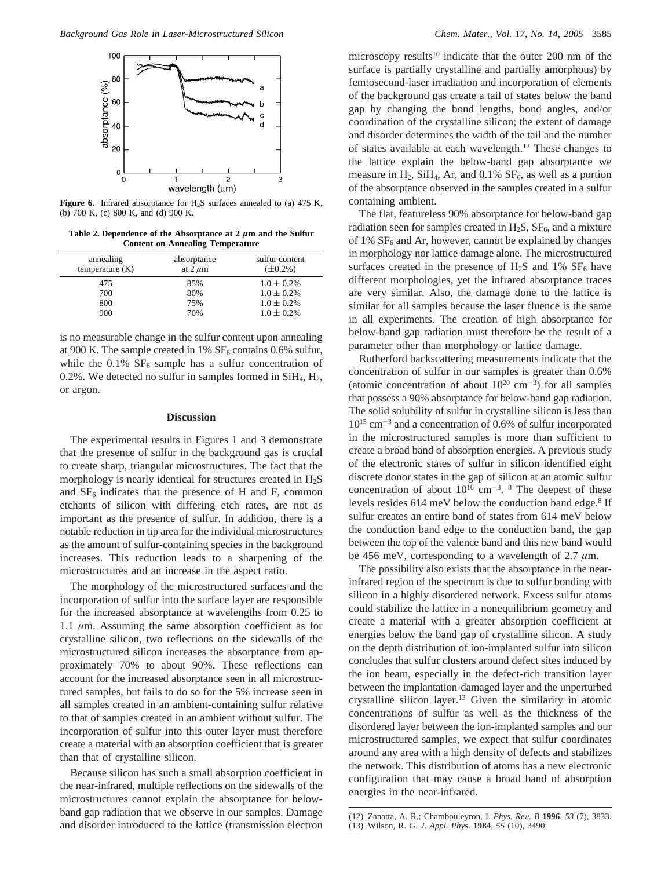

**Figure 6.** Infrared absorptance for  $H_2S$  surfaces annealed to (a) 475 K, (b) 700 K, (c) 800 K, and (d) 900 K.

**Table 2. Dependence of the Absorptance at 2** *µ***m and the Sulfur Content on Annealing Temperature**

| annealing<br>temperature $(K)$ | absorptance<br>at $2 \mu m$ | sulfur content<br>$(\pm 0.2\%)$ |
|--------------------------------|-----------------------------|---------------------------------|
| 475                            | 85%                         | $1.0 \pm 0.2\%$                 |
| 700                            | 80%                         | $1.0 \pm 0.2\%$                 |
| 800                            | 75%                         | $1.0 \pm 0.2\%$                 |
| 900                            | 70%                         | $1.0 \pm 0.2\%$                 |
|                                |                             |                                 |

is no measurable change in the sulfur content upon annealing at 900 K. The sample created in 1%  $SF<sub>6</sub>$  contains 0.6% sulfur, while the  $0.1\%$  SF<sub>6</sub> sample has a sulfur concentration of 0.2%. We detected no sulfur in samples formed in  $SiH_4$ ,  $H_2$ , or argon.

### **Discussion**

The experimental results in Figures 1 and 3 demonstrate that the presence of sulfur in the background gas is crucial to create sharp, triangular microstructures. The fact that the morphology is nearly identical for structures created in H2S and  $SF<sub>6</sub>$  indicates that the presence of H and F, common etchants of silicon with differing etch rates, are not as important as the presence of sulfur. In addition, there is a notable reduction in tip area for the individual microstructures as the amount of sulfur-containing species in the background increases. This reduction leads to a sharpening of the microstructures and an increase in the aspect ratio.

The morphology of the microstructured surfaces and the incorporation of sulfur into the surface layer are responsible for the increased absorptance at wavelengths from 0.25 to 1.1  $\mu$ m. Assuming the same absorption coefficient as for crystalline silicon, two reflections on the sidewalls of the microstructured silicon increases the absorptance from approximately 70% to about 90%. These reflections can account for the increased absorptance seen in all microstructured samples, but fails to do so for the 5% increase seen in all samples created in an ambient-containing sulfur relative to that of samples created in an ambient without sulfur. The incorporation of sulfur into this outer layer must therefore create a material with an absorption coefficient that is greater than that of crystalline silicon.

Because silicon has such a small absorption coefficient in the near-infrared, multiple reflections on the sidewalls of the microstructures cannot explain the absorptance for belowband gap radiation that we observe in our samples. Damage and disorder introduced to the lattice (transmission electron

microscopy results<sup>10</sup> indicate that the outer 200 nm of the surface is partially crystalline and partially amorphous) by femtosecond-laser irradiation and incorporation of elements of the background gas create a tail of states below the band gap by changing the bond lengths, bond angles, and/or coordination of the crystalline silicon; the extent of damage and disorder determines the width of the tail and the number of states available at each wavelength.12 These changes to the lattice explain the below-band gap absorptance we measure in  $H_2$ , Si $H_4$ , Ar, and 0.1%  $SF_6$ , as well as a portion of the absorptance observed in the samples created in a sulfur containing ambient.

The flat, featureless 90% absorptance for below-band gap radiation seen for samples created in  $H_2S$ ,  $SF_6$ , and a mixture of 1%  $SF<sub>6</sub>$  and Ar, however, cannot be explained by changes in morphology nor lattice damage alone. The microstructured surfaces created in the presence of  $H_2S$  and 1%  $SF_6$  have different morphologies, yet the infrared absorptance traces are very similar. Also, the damage done to the lattice is similar for all samples because the laser fluence is the same in all experiments. The creation of high absorptance for below-band gap radiation must therefore be the result of a parameter other than morphology or lattice damage.

Rutherford backscattering measurements indicate that the concentration of sulfur in our samples is greater than 0.6% (atomic concentration of about  $10^{20}$  cm<sup>-3</sup>) for all samples that possess a 90% absorptance for below-band gap radiation. The solid solubility of sulfur in crystalline silicon is less than  $10^{15}$  cm<sup>-3</sup> and a concentration of 0.6% of sulfur incorporated in the microstructured samples is more than sufficient to create a broad band of absorption energies. A previous study of the electronic states of sulfur in silicon identified eight discrete donor states in the gap of silicon at an atomic sulfur concentration of about  $10^{16}$  cm<sup>-3</sup>. <sup>8</sup> The deepest of these levels resides 614 meV below the conduction band edge.<sup>8</sup> If sulfur creates an entire band of states from 614 meV below the conduction band edge to the conduction band, the gap between the top of the valence band and this new band would be 456 meV, corresponding to a wavelength of  $2.7 \mu m$ .

The possibility also exists that the absorptance in the nearinfrared region of the spectrum is due to sulfur bonding with silicon in a highly disordered network. Excess sulfur atoms could stabilize the lattice in a nonequilibrium geometry and create a material with a greater absorption coefficient at energies below the band gap of crystalline silicon. A study on the depth distribution of ion-implanted sulfur into silicon concludes that sulfur clusters around defect sites induced by the ion beam, especially in the defect-rich transition layer between the implantation-damaged layer and the unperturbed crystalline silicon layer.13 Given the similarity in atomic concentrations of sulfur as well as the thickness of the disordered layer between the ion-implanted samples and our microstructured samples, we expect that sulfur coordinates around any area with a high density of defects and stabilizes the network. This distribution of atoms has a new electronic configuration that may cause a broad band of absorption energies in the near-infrared.

<sup>(12)</sup> Zanatta, A. R.; Chambouleyron, I. *Phys. Re*V*. B* **<sup>1996</sup>**, *<sup>53</sup>* (7), 3833. (13) Wilson, R. G. *J. Appl. Phys*. **1984**, *55* (10), 3490.